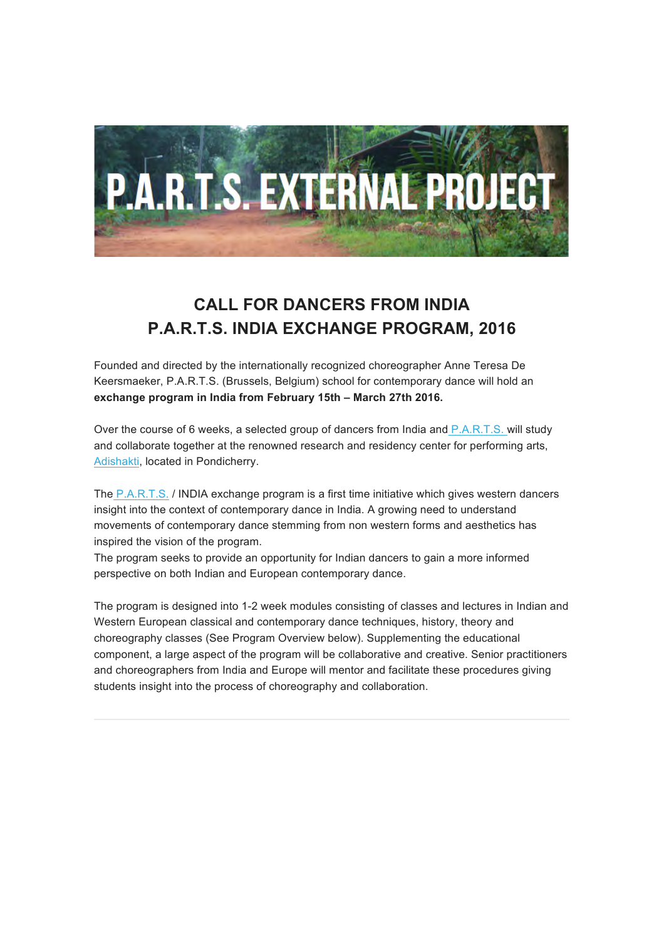

# **CALL FOR DANCERS FROM INDIA P.A.R.T.S. INDIA EXCHANGE PROGRAM, 2016**

Founded and directed by the internationally recognized choreographer Anne Teresa De Keersmaeker, P.A.R.T.S. (Brussels, Belgium) school for contemporary dance will hold an **exchange program in India from February 15th – March 27th 2016.**

Over the course of 6 weeks, a selected group of dancers from India and P.A.R.T.S. will study and collaborate together at the renowned research and residency center for performing arts, Adishakti, located in Pondicherry.

The P.A.R.T.S. / INDIA exchange program is a first time initiative which gives western dancers insight into the context of contemporary dance in India. A growing need to understand movements of contemporary dance stemming from non western forms and aesthetics has inspired the vision of the program.

The program seeks to provide an opportunity for Indian dancers to gain a more informed perspective on both Indian and European contemporary dance.

The program is designed into 1-2 week modules consisting of classes and lectures in Indian and Western European classical and contemporary dance techniques, history, theory and choreography classes (See Program Overview below). Supplementing the educational component, a large aspect of the program will be collaborative and creative. Senior practitioners and choreographers from India and Europe will mentor and facilitate these procedures giving students insight into the process of choreography and collaboration.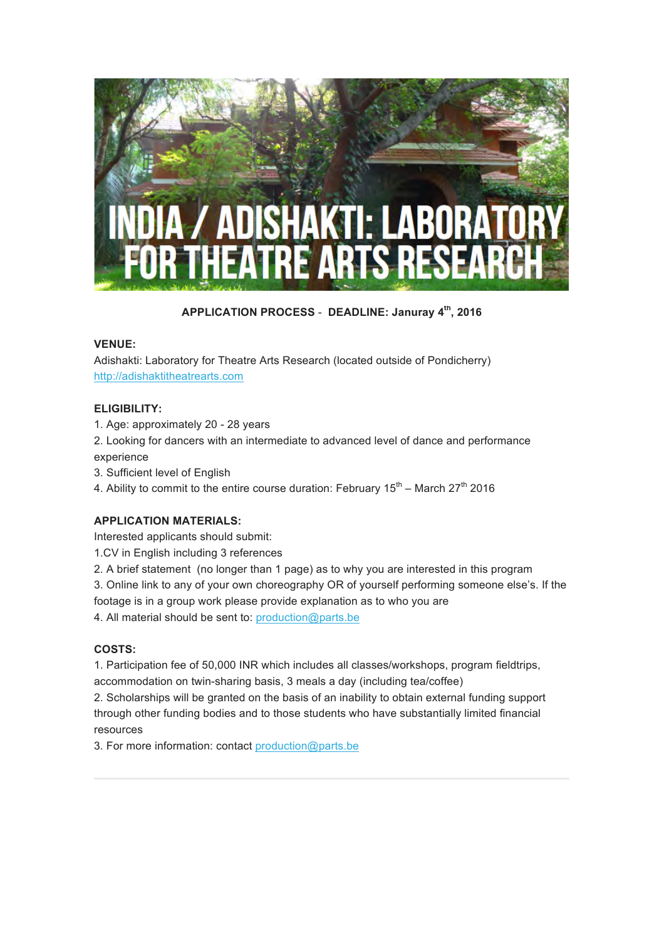

# **APPLICATION PROCESS** - **DEADLINE: Januray 4th, 2016**

### **VENUE:**

Adishakti: Laboratory for Theatre Arts Research (located outside of Pondicherry) http://adishaktitheatrearts.com

### **ELIGIBILITY:**

- 1. Age: approximately 20 28 years
- 2. Looking for dancers with an intermediate to advanced level of dance and performance experience
- 3. Sufficient level of English
- 4. Ability to commit to the entire course duration: February  $15<sup>th</sup>$  March 27<sup>th</sup> 2016

# **APPLICATION MATERIALS:**

Interested applicants should submit:

1.CV in English including 3 references

2. A brief statement (no longer than 1 page) as to why you are interested in this program

3. Online link to any of your own choreography OR of yourself performing someone else's. If the footage is in a group work please provide explanation as to who you are

4. All material should be sent to: production@parts.be

# **COSTS:**

1. Participation fee of 50,000 INR which includes all classes/workshops, program fieldtrips, accommodation on twin-sharing basis, 3 meals a day (including tea/coffee)

2. Scholarships will be granted on the basis of an inability to obtain external funding support through other funding bodies and to those students who have substantially limited financial resources

3. For more information: contact production@parts.be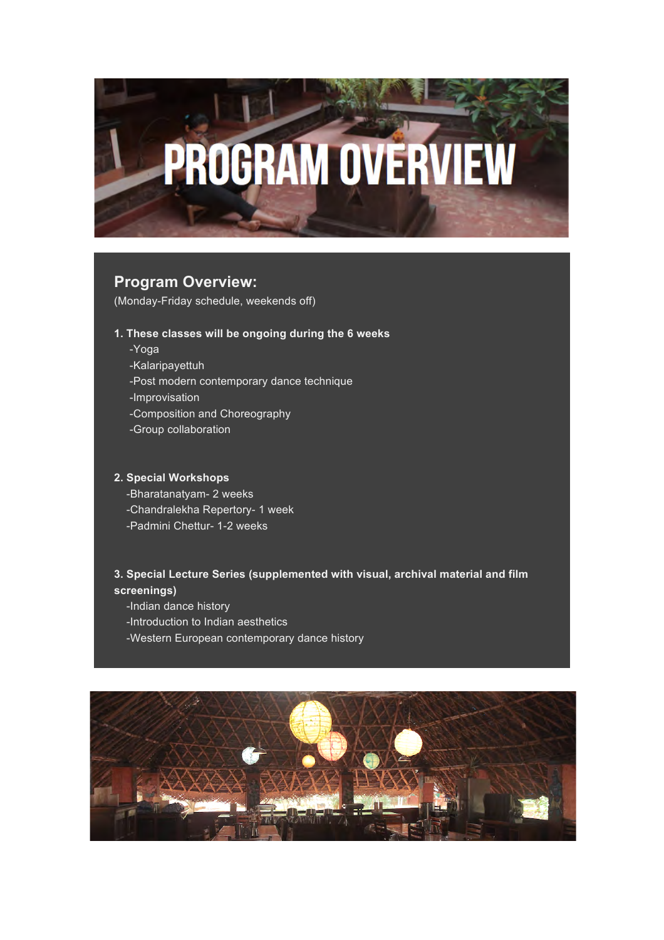

# **Program Overview:**

(Monday-Friday schedule, weekends off)

### **1. These classes will be ongoing during the 6 weeks**

- -Yoga
- -Kalaripayettuh
- -Post modern contemporary dance technique
- -Improvisation
- -Composition and Choreography
- -Group collaboration

### **2. Special Workshops**

-Bharatanatyam- 2 weeks -Chandralekha Repertory- 1 week -Padmini Chettur- 1-2 weeks

# **3. Special Lecture Series (supplemented with visual, archival material and film screenings)**

- -Indian dance history
- -Introduction to Indian aesthetics
- -Western European contemporary dance history